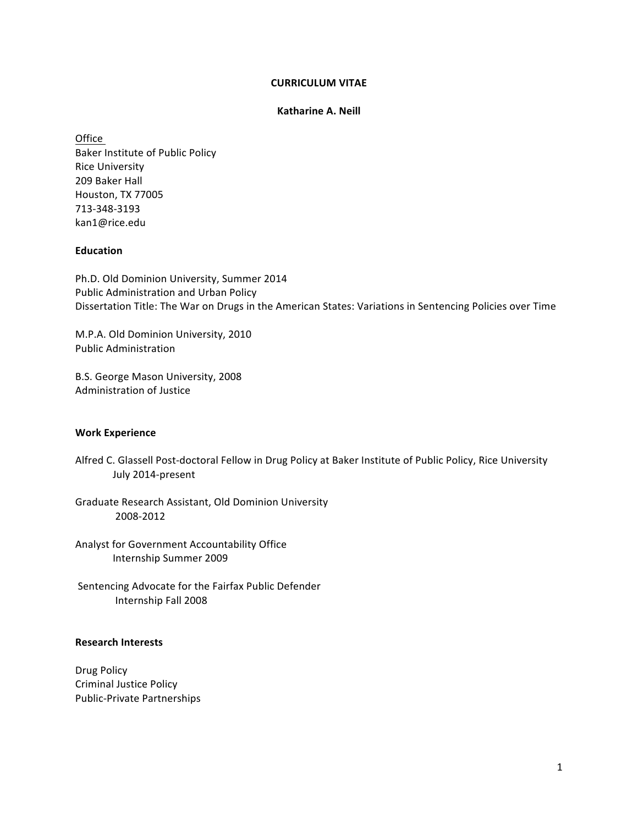## **CURRICULUM'VITAE**

#### **Katharine A. Neill**

Office" """"""""""""""" Baker Institute of Public Policy **Rice University** 209 Baker Hall Houston, TX 77005 713-348-3193 kan1@rice.edu

## **Education**

Ph.D. Old Dominion University, Summer 2014 Public Administration and Urban Policy Dissertation Title: The War on Drugs in the American States: Variations in Sentencing Policies over Time

M.P.A. Old Dominion University, 2010 Public Administration

B.S. George Mason University, 2008 Administration of Justice

# **Work'Experience**

Alfred C. Glassell Post-doctoral Fellow in Drug Policy at Baker Institute of Public Policy, Rice University July 2014-present

Graduate Research Assistant, Old Dominion University 2008-2012

Analyst for Government Accountability Office Internship Summer 2009

Sentencing Advocate for the Fairfax Public Defender Internship Fall 2008

## **Research'Interests**

Drug Policy Criminal Justice Policy Public-Private Partnerships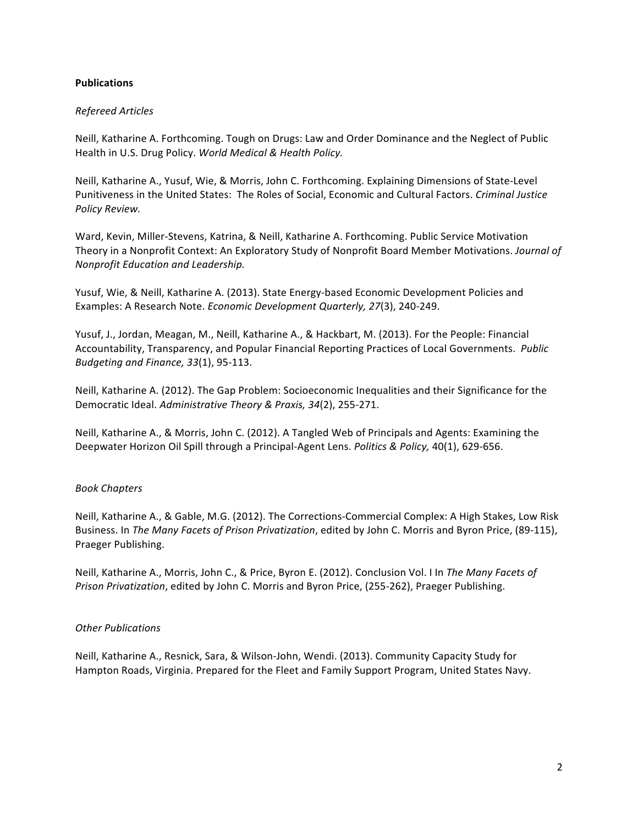# **Publications**

# *Refereed!Articles*

Neill, Katharine A. Forthcoming. Tough on Drugs: Law and Order Dominance and the Neglect of Public Health in U.S. Drug Policy. World Medical & Health Policy.

Neill, Katharine A., Yusuf, Wie, & Morris, John C. Forthcoming. Explaining Dimensions of State-Level Punitiveness in the United States: The Roles of Social, Economic and Cultural Factors. *Criminal Justice Policy!Review.*

Ward, Kevin, Miller-Stevens, Katrina, & Neill, Katharine A. Forthcoming. Public Service Motivation Theory in a Nonprofit Context: An Exploratory Study of Nonprofit Board Member Motivations. *Journal of Nonprofit!Education!and!Leadership.*

Yusuf, Wie, & Neill, Katharine A. (2013). State Energy-based Economic Development Policies and Examples: A Research Note. *Economic Development Quarterly, 27*(3), 240-249.

Yusuf, J., Jordan, Meagan, M., Neill, Katharine A., & Hackbart, M. (2013). For the People: Financial Accountability, Transparency, and Popular Financial Reporting Practices of Local Governments. *Public Budgeting and Finance, 33*(1), 95-113.

Neill, Katharine A. (2012). The Gap Problem: Socioeconomic Inequalities and their Significance for the Democratic Ideal. Administrative Theory & Praxis, 34(2), 255-271.

Neill, Katharine A., & Morris, John C. (2012). A Tangled Web of Principals and Agents: Examining the Deepwater Horizon Oil Spill through a Principal-Agent Lens. *Politics & Policy, 40(1), 629-656*.

# *Book!Chapters*

Neill, Katharine A., & Gable, M.G. (2012). The Corrections-Commercial Complex: A High Stakes, Low Risk Business. In The Many Facets of Prison Privatization, edited by John C. Morris and Byron Price, (89-115), Praeger Publishing.

Neill, Katharine A., Morris, John C., & Price, Byron E. (2012). Conclusion Vol. I In The Many Facets of *Prison Privatization*, edited by John C. Morris and Byron Price, (255-262), Praeger Publishing.

# *Other!Publications*

Neill, Katharine A., Resnick, Sara, & Wilson-John, Wendi. (2013). Community Capacity Study for Hampton Roads, Virginia. Prepared for the Fleet and Family Support Program, United States Navy.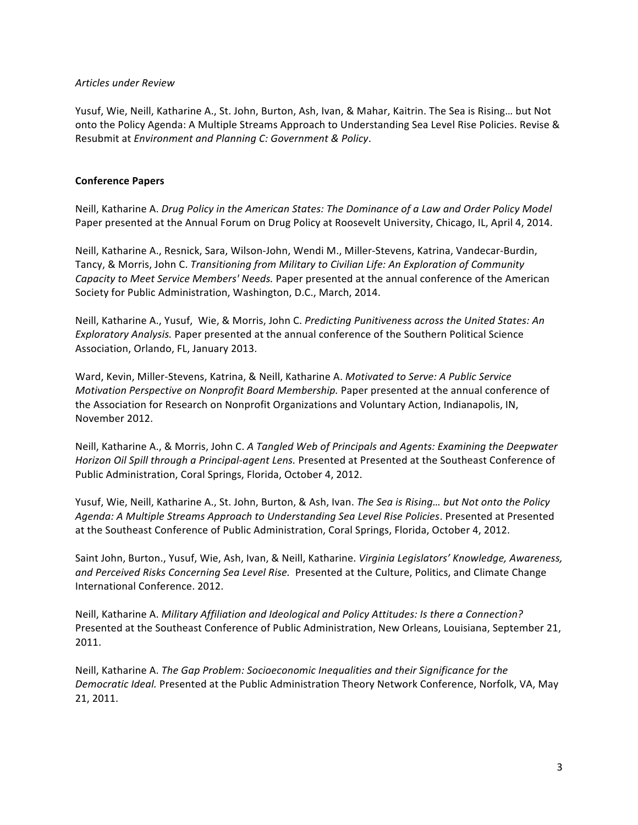## *Articles!under!Review*

Yusuf, Wie, Neill, Katharine A., St. John, Burton, Ash, Ivan, & Mahar, Kaitrin. The Sea is Rising... but Not onto the Policy Agenda: A Multiple Streams Approach to Understanding Sea Level Rise Policies. Revise & Resubmit at *Environment and Planning C: Government & Policy*.

# **Conference'Papers**

Neill, Katharine A. *Drug Policy in the American States: The Dominance of a Law and Order Policy Model* Paper presented at the Annual Forum on Drug Policy at Roosevelt University, Chicago, IL, April 4, 2014.

Neill, Katharine A., Resnick, Sara, Wilson-John, Wendi M., Miller-Stevens, Katrina, Vandecar-Burdin, Tancy, & Morris, John C. *Transitioning from Military to Civilian Life: An Exploration of Community Capacity to Meet Service Members' Needs.* Paper presented at the annual conference of the American Society for Public Administration, Washington, D.C., March, 2014.

Neill, Katharine A., Yusuf, Wie, & Morris, John C. Predicting Punitiveness across the United States: An *Exploratory Analysis.* Paper presented at the annual conference of the Southern Political Science Association, Orlando, FL, January 2013.

Ward, Kevin, Miller-Stevens, Katrina, & Neill, Katharine A. *Motivated to Serve: A Public Service Motivation Perspective on Nonprofit Board Membership.* Paper presented at the annual conference of the Association for Research on Nonprofit Organizations and Voluntary Action, Indianapolis, IN, November 2012.

Neill, Katharine A., & Morris, John C. A Tangled Web of Principals and Agents: Examining the Deepwater *Horizon Oil Spill through a Principal-agent Lens. Presented at Presented at the Southeast Conference of* Public Administration, Coral Springs, Florida, October 4, 2012.

Yusuf, Wie, Neill, Katharine A., St. John, Burton, & Ash, Ivan. *The Sea is Rising... but Not onto the Policy* Agenda: A Multiple Streams Approach to Understanding Sea Level Rise Policies. Presented at Presented at the Southeast Conference of Public Administration, Coral Springs, Florida, October 4, 2012.

Saint John, Burton., Yusuf, Wie, Ash, Ivan, & Neill, Katharine. *Virginia Legislators' Knowledge, Awareness,* and Perceived Risks Concerning Sea Level Rise. Presented at the Culture, Politics, and Climate Change International Conference. 2012.

Neill, Katharine A. *Military Affiliation and Ideological and Policy Attitudes: Is there a Connection?* Presented at the Southeast Conference of Public Administration, New Orleans, Louisiana, September 21, 2011.

Neill, Katharine A. *The Gap Problem: Socioeconomic Inequalities and their Significance for the Democratic Ideal.* Presented at the Public Administration Theory Network Conference, Norfolk, VA, May 21, 2011.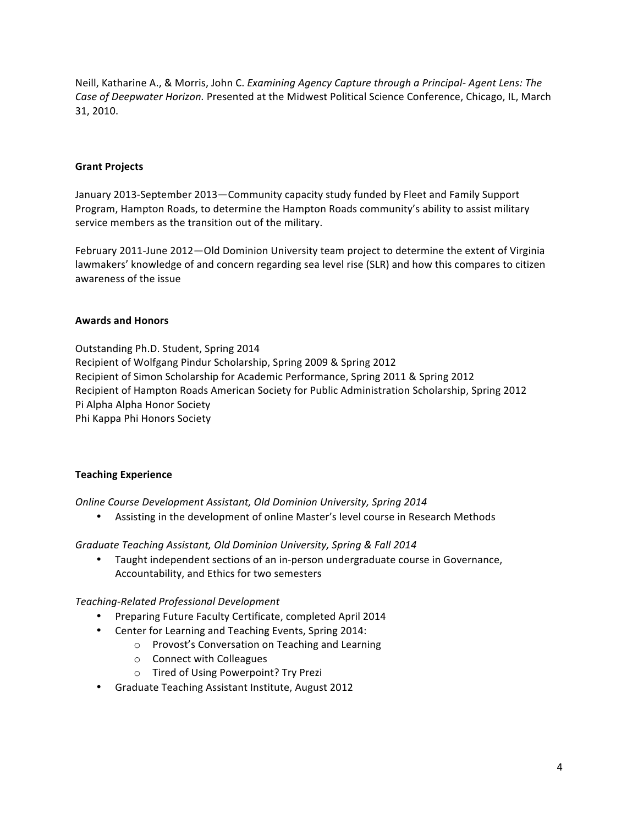Neill, Katharine A., & Morris, John C. *Examining Agency Capture through a Principal- Agent Lens: The* Case of Deepwater Horizon. Presented at the Midwest Political Science Conference, Chicago, IL, March 31, 2010.

## **Grant Projects**

January 2013-September 2013—Community capacity study funded by Fleet and Family Support Program, Hampton Roads, to determine the Hampton Roads community's ability to assist military service members as the transition out of the military.

February 2011-June 2012—Old Dominion University team project to determine the extent of Virginia lawmakers' knowledge of and concern regarding sea level rise (SLR) and how this compares to citizen awareness of the issue

## **Awards'and'Honors**

Outstanding Ph.D. Student, Spring 2014 Recipient of Wolfgang Pindur Scholarship, Spring 2009 & Spring 2012 Recipient of Simon Scholarship for Academic Performance, Spring 2011 & Spring 2012 Recipient of Hampton Roads American Society for Public Administration Scholarship, Spring 2012 Pi Alpha Alpha Honor Society Phi Kappa Phi Honors Society

# **Teaching'Experience**

*Online Course Development Assistant, Old Dominion University, Spring 2014* 

• Assisting in the development of online Master's level course in Research Methods

#### Graduate Teaching Assistant, Old Dominion University, Spring & Fall 2014

Taught independent sections of an in-person undergraduate course in Governance, Accountability, and Ethics for two semesters

# *TeachingWRelated!Professional!Development*

- Preparing Future Faculty Certificate, completed April 2014
- Center for Learning and Teaching Events, Spring 2014:
	- o Provost's Conversation on Teaching and Learning
	- o Connect with Colleagues
	- o Tired of Using Powerpoint? Try Prezi
- Graduate Teaching Assistant Institute, August 2012